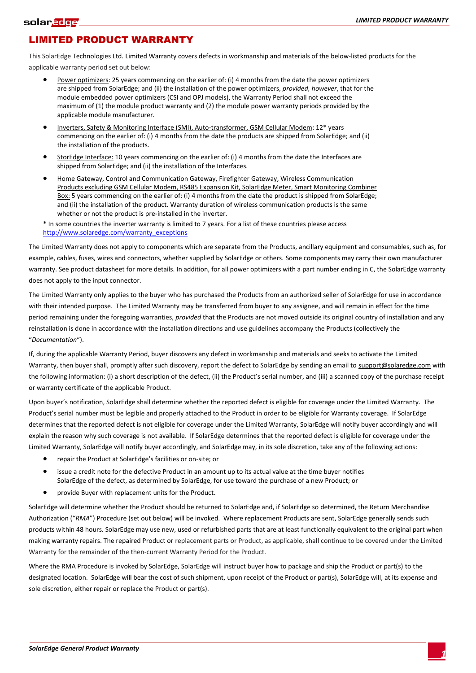## LIMITED PRODUCT WARRANTY

This SolarEdge Technologies Ltd. Limited Warranty covers defects in workmanship and materials of the below-listed products for the applicable warranty period set out below:

- Power optimizers: 25 years commencing on the earlier of: (i) 4 months from the date the power optimizers are shipped from SolarEdge; and (ii) the installation of the power optimizers, *provided, however*, that for the module embedded power optimizers (CSI and OPJ models), the Warranty Period shall not exceed the maximum of (1) the module product warranty and (2) the module power warranty periods provided by the applicable module manufacturer.
- Inverters, Safety & Monitoring Interface (SMI), Auto-transformer, GSM Cellular Modem: 12\* years commencing on the earlier of: (i) 4 months from the date the products are shipped from SolarEdge; and (ii) the installation of the products.
- StorEdge Interface: 10 years commencing on the earlier of: (i) 4 months from the date the Interfaces are shipped from SolarEdge; and (ii) the installation of the Interfaces.
- Home Gateway, Control and Communication Gateway, Firefighter Gateway, Wireless Communication Products excluding GSM Cellular Modem, RS485 Expansion Kit, SolarEdge Meter, Smart Monitoring Combiner Box: 5 years commencing on the earlier of: (i) 4 months from the date the product is shipped from SolarEdge; and (ii) the installation of the product. Warranty duration of wireless communication products is the same whether or not the product is pre-installed in the inverter.

\* In some countries the inverter warranty is limited to 7 years. For a list of these countries please access http://www.solaredge.com/warranty\_exceptions

The Limited Warranty does not apply to components which are separate from the Products, ancillary equipment and consumables, such as, for example, cables, fuses, wires and connectors, whether supplied by SolarEdge or others. Some components may carry their own manufacturer warranty. See product datasheet for more details. In addition, for all power optimizers with a part number ending in C, the SolarEdge warranty does not apply to the input connector.

The Limited Warranty only applies to the buyer who has purchased the Products from an authorized seller of SolarEdge for use in accordance with their intended purpose. The Limited Warranty may be transferred from buyer to any assignee, and will remain in effect for the time period remaining under the foregoing warranties, *provided* that the Products are not moved outside its original country of installation and any reinstallation is done in accordance with the installation directions and use guidelines accompany the Products (collectively the "*Documentation*").

If, during the applicable Warranty Period, buyer discovers any defect in workmanship and materials and seeks to activate the Limited Warranty, then buyer shall, promptly after such discovery, report the defect to SolarEdge by sending an email to support@solaredge.com with the following information: (i) a short description of the defect, (ii) the Product's serial number, and (iii) a scanned copy of the purchase receipt or warranty certificate of the applicable Product.

Upon buyer's notification, SolarEdge shall determine whether the reported defect is eligible for coverage under the Limited Warranty. The Product's serial number must be legible and properly attached to the Product in order to be eligible for Warranty coverage. If SolarEdge determines that the reported defect is not eligible for coverage under the Limited Warranty, SolarEdge will notify buyer accordingly and will explain the reason why such coverage is not available. If SolarEdge determines that the reported defect is eligible for coverage under the Limited Warranty, SolarEdge will notify buyer accordingly, and SolarEdge may, in its sole discretion, take any of the following actions:

- repair the Product at SolarEdge's facilities or on-site; or
- issue a credit note for the defective Product in an amount up to its actual value at the time buyer notifies SolarEdge of the defect, as determined by SolarEdge, for use toward the purchase of a new Product; or
- provide Buyer with replacement units for the Product.

SolarEdge will determine whether the Product should be returned to SolarEdge and, if SolarEdge so determined, the Return Merchandise Authorization ("*RMA*") Procedure (set out below) will be invoked. Where replacement Products are sent, SolarEdge generally sends such products within 48 hours. SolarEdge may use new, used or refurbished parts that are at least functionally equivalent to the original part when making warranty repairs. The repaired Product or replacement parts or Product, as applicable, shall continue to be covered under the Limited Warranty for the remainder of the then-current Warranty Period for the Product.

Where the RMA Procedure is invoked by SolarEdge, SolarEdge will instruct buyer how to package and ship the Product or part(s) to the designated location. SolarEdge will bear the cost of such shipment, upon receipt of the Product or part(s), SolarEdge will, at its expense and sole discretion, either repair or replace the Product or part(s).